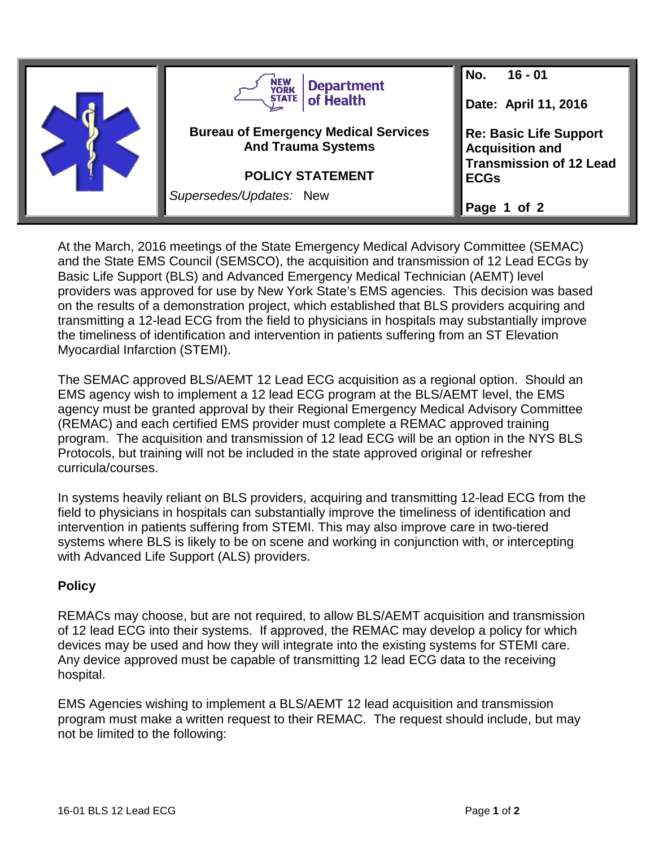

At the March, 2016 meetings of the State Emergency Medical Advisory Committee (SEMAC) and the State EMS Council (SEMSCO), the acquisition and transmission of 12 Lead ECGs by Basic Life Support (BLS) and Advanced Emergency Medical Technician (AEMT) level providers was approved for use by New York State's EMS agencies. This decision was based on the results of a demonstration project, which established that BLS providers acquiring and transmitting a 12-lead ECG from the field to physicians in hospitals may substantially improve the timeliness of identification and intervention in patients suffering from an ST Elevation Myocardial Infarction (STEMI).

The SEMAC approved BLS/AEMT 12 Lead ECG acquisition as a regional option. Should an EMS agency wish to implement a 12 lead ECG program at the BLS/AEMT level, the EMS agency must be granted approval by their Regional Emergency Medical Advisory Committee (REMAC) and each certified EMS provider must complete a REMAC approved training program. The acquisition and transmission of 12 lead ECG will be an option in the NYS BLS Protocols, but training will not be included in the state approved original or refresher curricula/courses.

In systems heavily reliant on BLS providers, acquiring and transmitting 12-lead ECG from the field to physicians in hospitals can substantially improve the timeliness of identification and intervention in patients suffering from STEMI. This may also improve care in two-tiered systems where BLS is likely to be on scene and working in conjunction with, or intercepting with Advanced Life Support (ALS) providers.

## **Policy**

REMACs may choose, but are not required, to allow BLS/AEMT acquisition and transmission of 12 lead ECG into their systems. If approved, the REMAC may develop a policy for which devices may be used and how they will integrate into the existing systems for STEMI care. Any device approved must be capable of transmitting 12 lead ECG data to the receiving hospital.

EMS Agencies wishing to implement a BLS/AEMT 12 lead acquisition and transmission program must make a written request to their REMAC. The request should include, but may not be limited to the following: